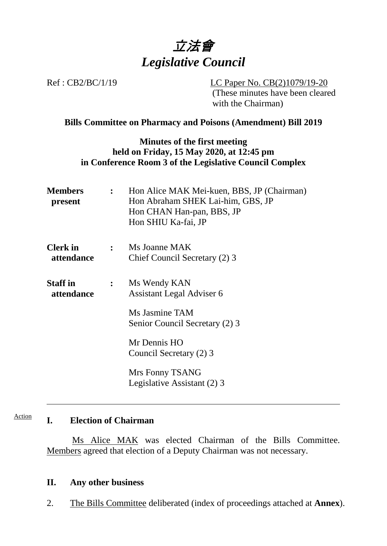

Ref : CB2/BC/1/19 LC Paper No. CB(2)1079/19-20 (These minutes have been cleared with the Chairman)

### **Bills Committee on Pharmacy and Poisons (Amendment) Bill 2019**

## **Minutes of the first meeting held on Friday, 15 May 2020, at 12:45 pm in Conference Room 3 of the Legislative Council Complex**

| <b>Members</b><br>present            | $\mathcal{L}$  | Hon Alice MAK Mei-kuen, BBS, JP (Chairman)<br>Hon Abraham SHEK Lai-him, GBS, JP<br>Hon CHAN Han-pan, BBS, JP<br>Hon SHIU Ka-fai, JP |
|--------------------------------------|----------------|-------------------------------------------------------------------------------------------------------------------------------------|
| <b>Clerk</b> in<br>attendance        | $\mathbb{R}^2$ | Ms Joanne MAK<br>Chief Council Secretary (2) 3                                                                                      |
| <b>Staff</b> in<br><i>attendance</i> | $\ddot{\cdot}$ | Ms Wendy KAN<br><b>Assistant Legal Adviser 6</b><br>Ms Jasmine TAM                                                                  |
|                                      |                | Senior Council Secretary (2) 3<br>Mr Dennis HO<br>Council Secretary (2) 3                                                           |
|                                      |                | Mrs Fonny TSANG<br>Legislative Assistant (2) 3                                                                                      |

#### **I. Election of Chairman** Action

Ms Alice MAK was elected Chairman of the Bills Committee. Members agreed that election of a Deputy Chairman was not necessary.

#### **II. Any other business**

2. The Bills Committee deliberated (index of proceedings attached at **Annex**).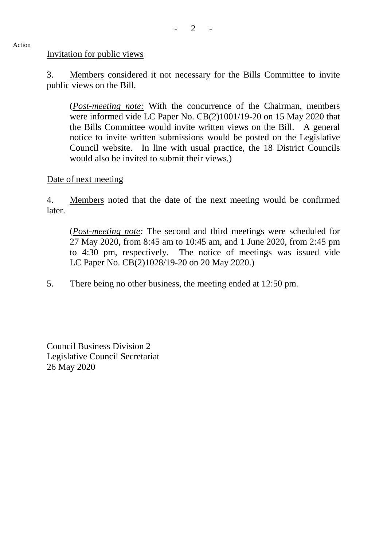#### Invitation for public views

Action

3. Members considered it not necessary for the Bills Committee to invite public views on the Bill.

(*Post-meeting note:* With the concurrence of the Chairman, members were informed vide LC Paper No. CB(2)1001/19-20 on 15 May 2020 that the Bills Committee would invite written views on the Bill. A general notice to invite written submissions would be posted on the Legislative Council website. In line with usual practice, the 18 District Councils would also be invited to submit their views.)

Date of next meeting

4. Members noted that the date of the next meeting would be confirmed later.

(*Post-meeting note:* The second and third meetings were scheduled for 27 May 2020, from 8:45 am to 10:45 am, and 1 June 2020, from 2:45 pm to 4:30 pm, respectively. The notice of meetings was issued vide LC Paper No. CB(2)1028/19-20 on 20 May 2020.)

5. There being no other business, the meeting ended at 12:50 pm.

Council Business Division 2 Legislative Council Secretariat 26 May 2020